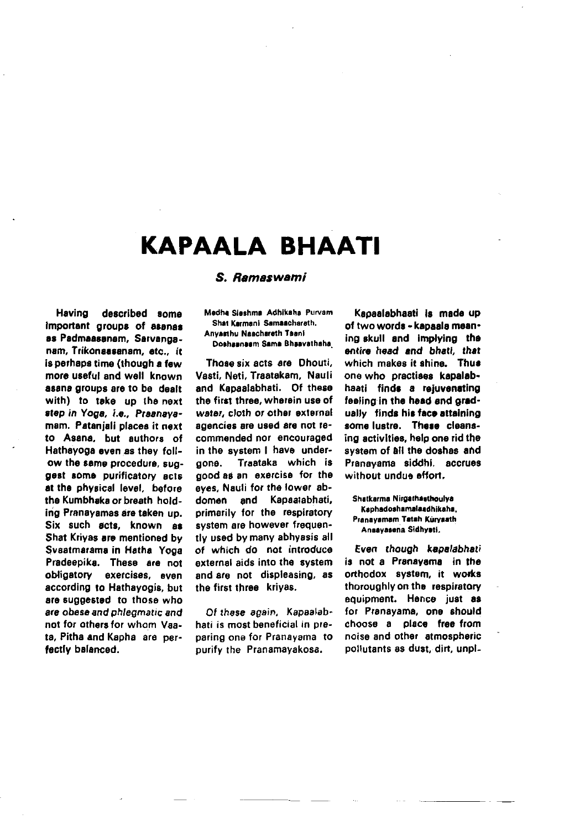## KAPAALA BHAATI

S. Ramaswami

## Having described some important groups of asanas as Padmaasanam. Sarvanganam, Trikonaasanam, etc., it is perhaps time (though a few more useful and well known asana groups are to be dealt with) to take up the next step in Yoga, i.e., Praanavamam. Pataniali places it next to Asana, but authors of Hathayoga even as they follow the same procedure, suggest some purificatory acts at the physical level. before the Kumbhaka or breath holding Pranayamas are taken up. Six such acts, known as Shat Krivas are mentioned by Svaatmarama in Hatha Yoga Pradeepika. These are not obligatory exercises, even according to Hathavogis, but are suggested to those who are obese and phleomatic and not for others for whom Vaata. Pitha and Kapha are perfectly balanced.

Medha Sieshma Adhikaha Purvam Shat Karmani Samaacharath. Anvasthu Naachareth Taani

Doshaanaam Sama Bhaavathaha

Those six acts are Dhouti. Vasti, Neti, Traatakam, Nauli and Kapaalabhati. Of these the first three, wherein use of water, cloth or other external agencies are used are not recommended nor encouraged in the system I have underdone. Traataka which is good as an exercise for the eves. Nauli for the lower abdomen and Kapaatabhati, primarily for the respiratory system are however frequently used by many abhyasis all of which do not introduce external aids into the system and are not displeasing, as the first three krivas.

Of these again. Kapaalabhati is most beneficial in preparing one for Pranavama to purify the Pranamayakosa.

Kaoaalabhaati is made up of two words - kapaala meaning skull and implying the entire head and bhati, that which makes it shine. Thus one who practises kapalabhaati finds a reiuvenating feeling in the head and gradually finds his face attaining some lustre. These cleansing activities, help one rid the system of all the doshas and Prapavama siddhi, accrues without undue effort.

Shatkarma Nirgathasthoulva Kaphadoshamalaadhikaha. Pranayamam Tatah Kuryaath Ansavasena Sidhysti.

Even though kepalabhati is not a Pranavama in the orthodox system, it works thoroughly on the respiratory equipment. Hence just as for Pranayama, one should choose a place free from noise and other atmospheric pollutants as dust, dirt, unpl-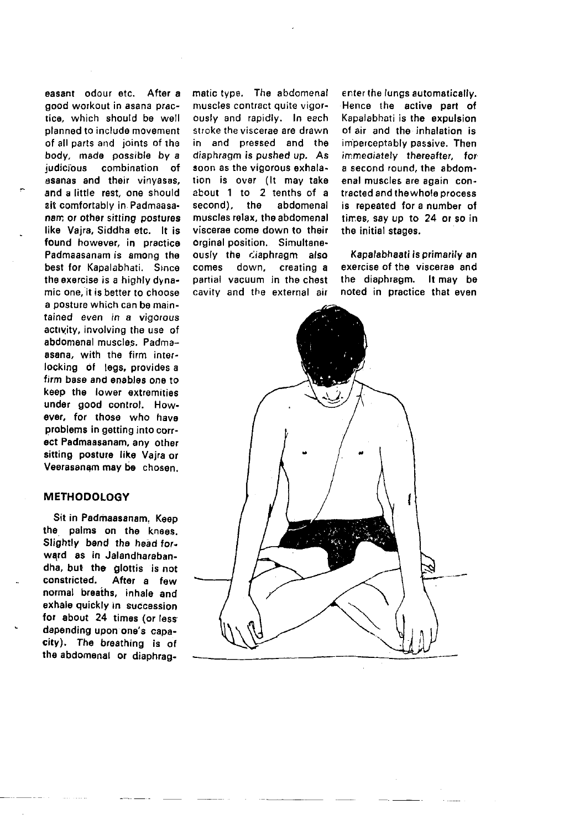easant odour etc. After a good workout in asana practico, which should be well planned to include movement of all parts and ioints of the body, made possible by a judicious combination of asanas and their vinyasas, and a little rest, one should sit comfortably in. Padmaasa. nam or other sitting postures like Vajra, Siddha etc. lt is found however, in practice Padmaasanam is among the best for Kapalabhati. Since the oxorcise is a highly dynamic one, it is better to choose a posture which can be maintained even in a vigorous actrvity, involving the use of abdomenal muscles, Padmaasana, with the firm interlocking of legs, provides a firm base and enables one to keep the lower extremities undor good control, How. ever, for those who have problems in getting into correct Padmaasanam, any other sitting posture like Vaira or Veerasanam may be chosen.

## **METHODOLOGY**

Sit in Padmaasanam. Keep the palms on the knoss. Slightly bend the head for. ward as in Jalandharabandha, but the glottis is not<br>constricted. After a few After a few normal breaths, inhale and exhale guickly in succassion for about 24 times (or less depending upon one's capacity), The breathing is of the abdornenal or diaphragmatic type. The abdomenal muscles contract quite vigorously and rapidly. In each stroke the viscerae are drawn in and pressed and the diaphragm is pushed up. As soon as the vigorous exhalation is over (It may take about 1 to 2 tenths of a<br>second), the abdomenal second), the muscles relax, the abdomena viscerae come down to their orginal position. Simultaneously the diaphragm also<br>comes down, creating a down, creating a partial vacuum in the chest cavitv and the external air

enter the lungs automatically. Hence the active part of Kapalabhati is the expulsion o{ air and the inhalation is imperceptably passive. Then immediately thereafter, for a second round, the abdomenal muscles are again contracted and the whole process is repeated for a number of times, say up to 24 or so in the initial stagos.

Kapalabhaati is primarily an exercise of the viscerae and the disphragm. lt may be noted in practice that even

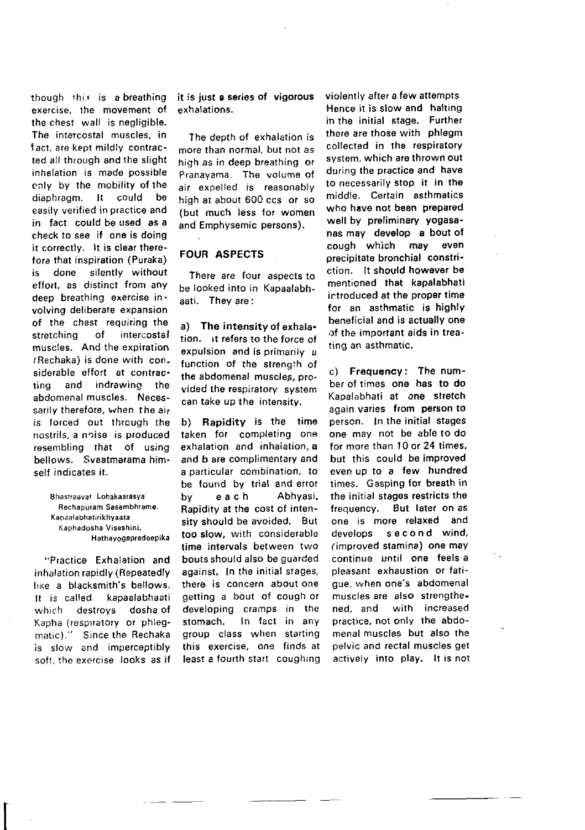though this is a breathing exercise, the movement of the chest wall is negligible. The intercostal muscles, in f act, are kept mildly contracted all through and the slight inhslation is made possible cnly by the mobility of rhe diaphragm. lt could be easily verified in practice and in fact could be used as a check to see if one is doing it correctly. It is clear therefore that inspiration (Puraka) is done silently without effort, as distinct from any deep breathing exercise involving deliberate expansion of the chest requiring the stretching of intercostal muscles. And the expiration tRechaka) is done with considerable effort at contracring and indrawing the abdomenal muscles. Necessarily therefore, when the air is torced out through the nostrils, a noise is produced resembling that of using bellows. Svaatmarama himself indicates it.

> Bhastraavat Lohakaarasya Rechapuram Sasambhramo. Kapaalabhsti.ikhyaata Kaphadosha Viseshini. Hathayogapradeepika

"Practice Exhalation and inhalation rapidly (Repeatedly like a blacksmith's bellows. It is called kapaalabhaati<br>which destroys doshalof destroys Kapha (respiratory or phlegmatic)." Since the Rechaka is slow and imperceptibly soft, the exercise looks as if

it is iust e series of vigorous exh alations,

The deoth of exhalation is more than normal, but not as high as in deep breathing or Pranavama. The volume ot air expelled is reasonably high at about 600 ccs or so (but much less for women and Emphysemic persons).

## FOUR ASPECTS

There are four aspects to be looked into in Kapaalabhaati. They are:

a) The intensity of exhala. tion, it refers to the force of expulsion and is primarily a function of the strengih of the abdomenal muscles, provided the respiratory system can take up the intensitv.

b) Rapidity is the time taken for completing one exhalation and inhaiation. a and b are complimentary and a particular combination, to be found by trial and error by each Abhyasi. Rapidity at the cost of intensity should be avoided. But too slow, with considerable time intervals between two bouts should also be guarded against. In the initial stages, there is concern about one getting a bout of cough or developing cramps in the stomach. In fact in any group class when starting this exercise, one finds at least a fourth start coughing

violently after a few attempts Hence it is slow and halting in the initial stage. Further there are those with phlegm collected in the respiratory system, which are thrown out during the practice and have to necessarily stop it in the middle. Certain asthmatics who have not been prepared well by preliminary yogasanas may develop a bout of cough which may even precipitate bronchial constri' ction. lt should however be mentioned that kapalabhali introduced at the proper timo for an asthmatic is highly beneficial and is actually one of the important aids in treating an asthmatic.

c) Frequency: The number of times one has to do Kapalabhati at one stretch again varies from person to person. In tha initial stages one may not be able to do for more than 10 or 24 times. but this could be improved even uo to a few hundred times. Gasping for breath in the initial stages restricts the frequency, But later on as one is more relaxed and develops second wind, (improved stamina) one may continue until one feels a oleasant exhaustion or fatigue, when one's abdomenal muscles are also strengthened, and with increased practice, not only the abdomenal muscles but also the pelvic and rectal muscles get actively into play. It is not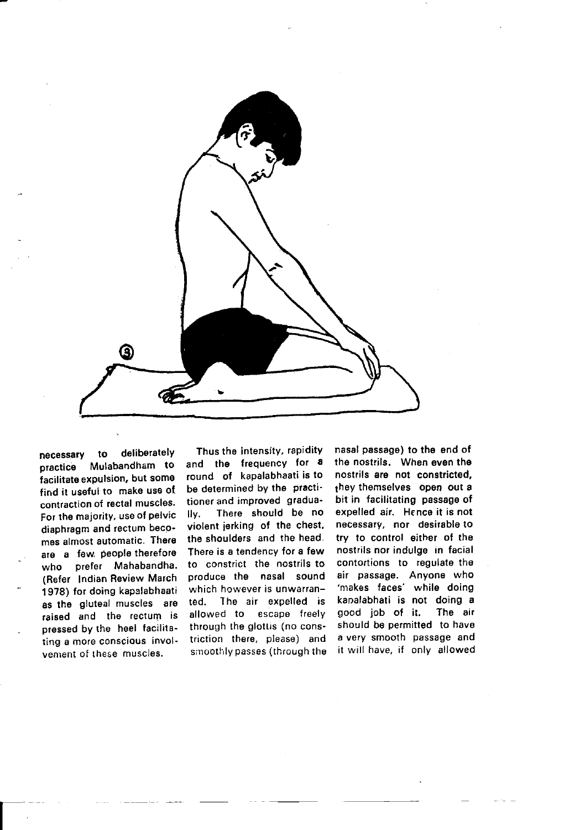

necessary to deliberately<br>practice Mulabandham to Mulabandham to facilitate expulsion, but some find it useful to make use of contraction of rectal muscles. For the majority, use of pelvic diaphragm and rectum becomes almost automatic. There are a few. people therefore who prefer Mahabandha. (Refer lndian Review March 1978) for doing kapalabhaati as the gluteal muscles are raised and tho rectum is pressed by the heel facilitating a moro conscious involvement of these muscles.

Thus the intensity, rapidity and the frequency for a round of kapalabhaati is to be determined by the practitioner and improved gradua-<br>Ily, There should be no There should be no violent jerking of the chest, the shoulders and the head. There is a tendency for a few to constrict the nostrils to produce the nasal sound which however is unwarranted. Iho air expelled is allowed to escape freely through the glottis (no constriction there, please) and smoothly passes (through the

nasal passage) to the end of the nostrils. when even tho nostrils are not constricted. they themselves open out a bit in facilitating passage of expelled air. Hence it is not necessary, nor desirable to try to control either of the nostrils nor indulge in facial contortions to regulate the air passage. Anyone who 'makes faces' while doing kapalabhati is not doing a<br>good job of it. The air good job of it. should be permitted to have a very smooth passage and it will have, if only allowed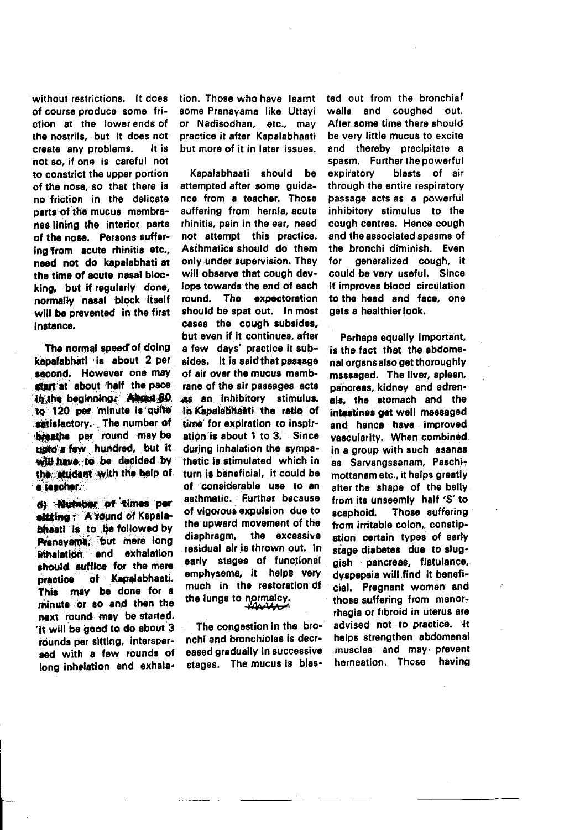without restrictions. It does of course produce some friction at the lower ends of the nostrils. but it does not It is create any problems. not so, if one is careful not to constrict the upper portion of the nose, so that there is no friction in the delicate parts of the mucus membranes lining the interior parts of the nose. Persons suffering from acute rhinitis etc.. need not do kapalabhati at the time of acute nasal blocking, but if regularly done, normally nasal block itself will be prevented in the first instance.

The normal speed of doing kapafabhati is about 2 per second. However one may start at about 'half the pace in the beginning. About 80 to 120 per minute is quite satisfactory. The number of hreaths per round may be unto a faw hundred, but it will have to be decided by the student with the help of a teacher.

d) Number of times ner sitting: A round of Kapalabhasti is to be followed by Pranayama, but mere long Prihalation and exhalation should suffice for the mere practice of Kapalabhaati. This may be done for a minute or so and then the next round may be started. It will be good to do about 3 röunds per sitting, interspersed with a few rounds of long inhelation and exhala-

tion. Those who have learnt some Pranavama like Uttavi or Nadisodhan, etc., may practice it after Kapalabhaati but more of it in later issues.

Kapalabhaati should be attempted after some quidance from a teacher. Those suffering from hernia, acute rhinitis, pain in the ear, need not attempt this practice. Asthmatics should do them only under supervision. They will observe that cough devlops towards the end of each round. The expectoration should be spat out. In most cases the cough subsides. but even if it continues, after a few days' practice it subsides. It is said that passsoe of air over the mucus membrane of the air passages acts as an inhibitory stimulus. In Kanalabhaati the ratio of time for expiration to inspiration is about 1 to 3. Since during inhalation the sympathatic is stimulated which in turn is beneficial, it could be of considerable use to an asthmatic. Further because of vigorous expulsion due to the upward movement of the the excessive diaphragm. residual air is thrown out. in early stages of functional emphysema, it helps very much in the restoration of the lungs to normalcy. تمممم

The congestion in the bronchi and bronchioles is decreased gradually in successive stages. The mucus is blas-

ted out from the bronchial walls and coughed out. After some time there should be very little mucus to excite and thereby precipitate a spasm. Further the powerful expiratory blasts of air through the entire respiratory passage acts as a powerful inhibitory stimulus to the cough centres. Hence cough and the associated spasms of the bronchi diminish. Even generalized cough, it for could be very useful. Since If improves blood circulation to the head and face, one gets a healthier look.

Perhaps equally important, is the fact that the abdomenal organs also get thoroughly msssaged. The liver, spleen, pancreas, kidney and adrenals, the stomach and the intestines get well massaged and hence have improved vascularity. When combined in a group with such asanas as Sarvanossanam. Paschimottanam etc., it helps greatly alter the shape of the belly from its unseemly half 'S' to scaphoid. Those suffering from irritable colon, constipation certain types of early stage diabetes due to sluggish pancreas, flatulance, dyspepsia will find it beneficial. Pregnant women and those suffering from manorrhagia or fibroid in uterus are advised not to practice. 4t heins strengthen abdomenal muscles and may prevent herneation. Those having